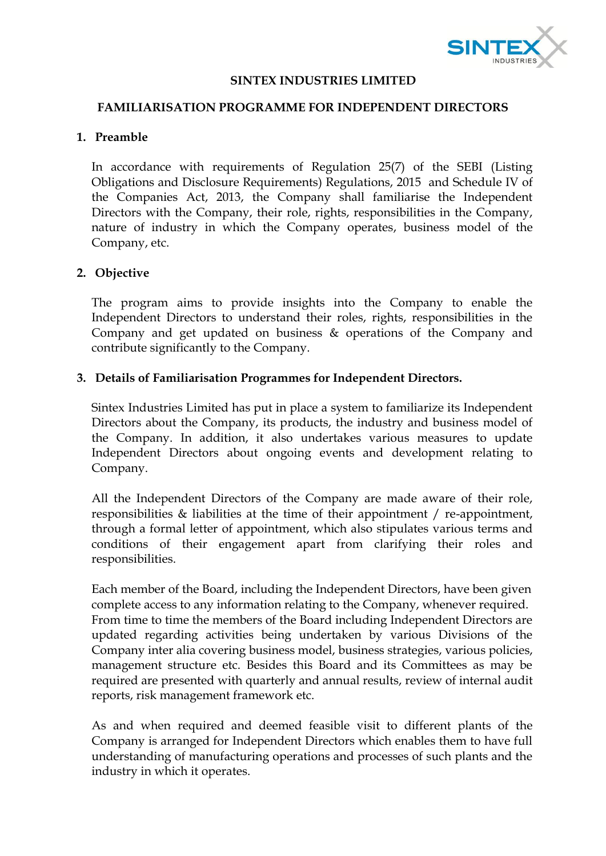

### **SINTEX INDUSTRIES LIMITED**

## **FAMILIARISATION PROGRAMME FOR INDEPENDENT DIRECTORS**

# **1. Preamble**

In accordance with requirements of Regulation 25(7) of the SEBI (Listing Obligations and Disclosure Requirements) Regulations, 2015 and Schedule IV of the Companies Act, 2013, the Company shall familiarise the Independent Directors with the Company, their role, rights, responsibilities in the Company, nature of industry in which the Company operates, business model of the Company, etc.

# **2. Objective**

The program aims to provide insights into the Company to enable the Independent Directors to understand their roles, rights, responsibilities in the Company and get updated on business & operations of the Company and contribute significantly to the Company.

## **3. Details of Familiarisation Programmes for Independent Directors.**

Sintex Industries Limited has put in place a system to familiarize its Independent Directors about the Company, its products, the industry and business model of the Company. In addition, it also undertakes various measures to update Independent Directors about ongoing events and development relating to Company.

All the Independent Directors of the Company are made aware of their role, responsibilities & liabilities at the time of their appointment / re-appointment, through a formal letter of appointment, which also stipulates various terms and conditions of their engagement apart from clarifying their roles and responsibilities.

Each member of the Board, including the Independent Directors, have been given complete access to any information relating to the Company, whenever required. From time to time the members of the Board including Independent Directors are updated regarding activities being undertaken by various Divisions of the Company inter alia covering business model, business strategies, various policies, management structure etc. Besides this Board and its Committees as may be required are presented with quarterly and annual results, review of internal audit reports, risk management framework etc.

As and when required and deemed feasible visit to different plants of the Company is arranged for Independent Directors which enables them to have full understanding of manufacturing operations and processes of such plants and the industry in which it operates.